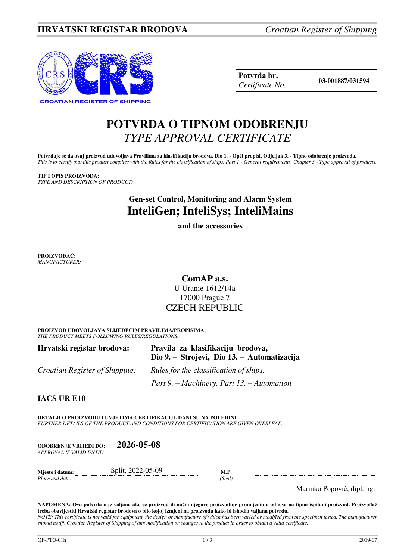# **HRVATSKI REGISTAR BRODOVA** *Croatian Register of Shipping*



**Potvrda br. 03-001887/031594** *Certificate No.* 

# **POTVRDA O TIPNOM ODOBRENJU**  *TYPE APPROVAL CERTIFICATE*

Potvrđuje se da ovaj proizvod udovoljava Pravilima za klasifikaciju brodova, Dio 1. - Opći propisi, Odjeljak 3. - Tipno odobrenje proizvoda. *This is to certify that this product complies with the Rules for the classification of ships, Part 1 - General requirements, Chapter 3 - Type approval of products.* 

**TIP I OPIS PROIZVODA:** *TYPE AND DESCRIPTION OF PRODUCT:* 

# **Gen-set Control, Monitoring and Alarm System InteliGen; InteliSys; InteliMains**

**and the accessories** 

**PROIZVOĐAČ:** *MANUFACTURER:*

## **ComAP a.s.**  U Uranie 1612/14a 17000 Prague 7 CZECH REPUBLIC

**PROIZVOD UDOVOLJAVA SLIJEDEĆIM PRAVILIMA/PROPISIMA:** *THE PRODUCT MEETS FOLLOWING RULES/REGULATIONS:* 

| Hrvatski registar brodova:            | Pravila za klasifikaciju brodova,<br>Dio 9. – Strojevi, Dio 13. – Automatizacija |  |
|---------------------------------------|----------------------------------------------------------------------------------|--|
| <i>Croatian Register of Shipping:</i> | Rules for the classification of ships,                                           |  |
|                                       | Part 9. – Machinery, Part 13. – Automation                                       |  |

**IACS UR E10**

**DETALJI O PROIZVODU I UVJETIMA CERTIFIKACIJE DANI SU NA POLEĐINI.** *FURTHER DETAILS OF THE PRODUCT AND CONDITIONS FOR CERTIFICATION ARE GIVEN OVERLEAF.* 

| <b>ODOBRENJE VRLIEDI DO:</b> | 2026-05-08        |     |
|------------------------------|-------------------|-----|
| APPROVAL IS VALID UNTIL:     |                   |     |
|                              |                   |     |
| Miesto i datum:              | Split, 2022-05-09 | M.P |

*Place and date: (Seal)* 

Marinko Popović, dipl.ing.

**NAPOMENA: Ova potvrda nije valjana ako se proizvod ili način njegove proizvodnje promijenio u odnosu na tipno ispitani proizvod. Proizvođač treba obavijestiti Hrvatski registar brodova o bilo kojoj izmjeni na proizvodu kako bi ishodio valjanu potvrdu.**  *NOTE: This certificate is not valid for equipment, the design or manufacture of which has been varied or modified from the specimen tested. The manufacturer should notify Croatian Register of Shipping of any modification or changes to the product in order to obtain a valid certificate.*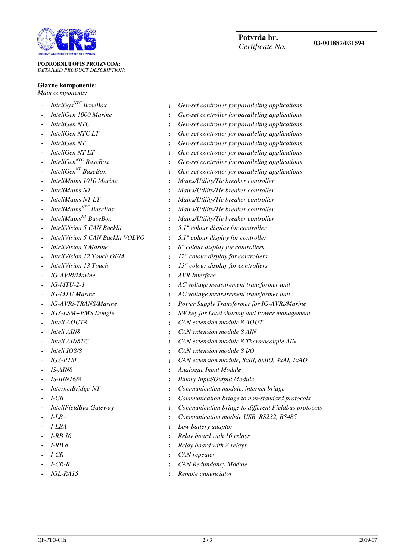

#### **PODROBNIJI OPIS PROIZVODA:** *DETAILED PRODUCT DESCRIPTION:*

### **Glavne komponente:**

*Main components:* 

- 
- 
- 
- 
- 
- 
- 
- 
- 
- 
- 
- 
- 
- 
- 
- 
- 
- 
- 
- 
- 
- 
- 
- 
- 
- 
- 
- 
- 
- 
- 
- 
- 
- 
- 
- 
- 
- 
- 
- 
- *InteliSysNTC BaseBox* **:** *Gen-set controller for paralleling applications*
- *InteliGen 1000 Marine* **:** *Gen-set controller for paralleling applications*
- *InteliGen NTC* **:** *Gen-set controller for paralleling applications* **-** *InteliGen NTC LT* **:** *Gen-set controller for paralleling applications*
- *InteliGen NT* **:** *Gen-set controller for paralleling applications*
	-
- **Fundary 1 And** *InteliGen NT LT* **:** *Gen-set controller for paralleling applications*<br>*InteliGen<sup>NTC</sup> BaseBox* **:** *Gen-set controller for paralleling applications* **-** *InteliGenNTC BaseBox* **:** *Gen-set controller for paralleling applications*
- *InteliGenNT BaseBox* **:** *Gen-set controller for paralleling applications*
- *InteliMains 1010 Marine* **:** *Mains/Utility/Tie breaker controller*
- *InteliMains NT* **:** *Mains/Utility/Tie breaker controller*
- **Figure 1.1 InteliMains NT LT**<br> *Mains/Utility/Tie breaker controller*<br> *Mains/Utility/Tie breaker controller***<br>
<b>-** *Mains/Utility/Tie breaker controller* 
	- *InteliMainsNTC BaseBox* **:** *Mains/Utility/Tie breaker controller*
- *InteliMainsNT BaseBox* **:** *Mains/Utility/Tie breaker controller*
- *InteliVision 5 CAN Backlit* **:** *5.1" colour display for controller*
- *InteliVision 5 CAN Backlit VOLVO* **:** *5.1" colour display for controller*
- *InteliVision 8 Marine* **:** *8" colour display for controllers*
- *InteliVision 12 Touch OEM* **:** *12" colour display for controllers*
- *InteliVision 13 Touch* **:** *13" colour display for controllers*
- *IG-AVRi/Marine* **:** *AVR Interface*
- *IG-MTU-2-1* **:** *AC voltage measurement transformer unit*
- *IG-MTU Marine* **:** *AC voltage measurement transformer unit*
- *IG-AVRi-TRANS/Marine* **:** *Power Supply Transformer for IG-AVRi/Marine*
- *IGS-LSM+PMS Dongle* **:** *SW key for Load sharing and Power management*
- *Inteli AOUT8* **:** *CAN extension module 8 AOUT*
- *Inteli AIN8* **:** *CAN extension module 8 AIN*
- *Inteli AIN8TC* **:** *CAN extension module 8 Thermocouple AIN*
- *Inteli IO8/8* **:** *CAN extension module 8 I/O*
- *IGS-PTM* **:** *CAN extension module, 8xBI, 8xBO, 4xAI, 1xAO*
- *IS-AIN8* **:** *Analogue Input Module*
- *IS-BIN16/8* **:** *Binary Input/Output Module*
- *InternetBridge-NT* **:** *Communication module, internet bridge*
- *I-CB* **:** *Communication bridge to non-standard protocols*
- *InteliFieldBus Gateway* **:** *Communication bridge to different Fieldbus protocols*
- *I-LB+* **:** *Communication module USB, RS232, RS485* 
	- *I-LBA* **:** *Low battery adaptor*
	- *I-RB 16* **:** *Relay board with 16 relays*
	- *I-RB 8* **:** *Relay board with 8 relays*
	- *I-CR* **:** *CAN repeater*
	- *I-CR-R* **:** *CAN Redundancy Module*
	- *IGL-RA15* **:** *Remote annunciator*